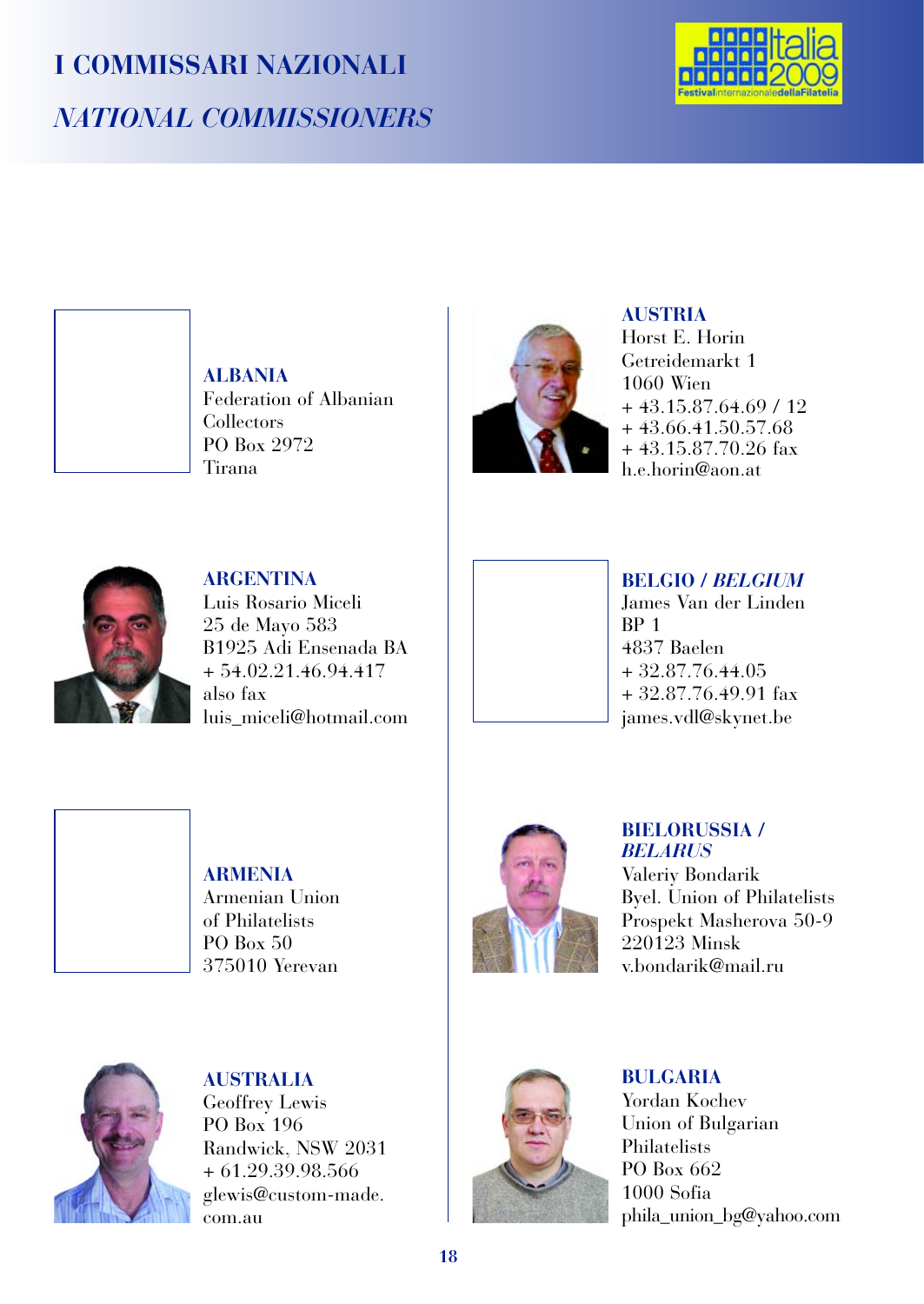# **I COMMISSARI NAZIONALI** *NATIONAL COMMISSIONERS*



**ALBANIA** Federation of Albanian Collectors PO Box 2972 Tirana



### **AUSTRIA**

Horst E. Horin Getreidemarkt 1 1060 Wien + 43.15.87.64.69 / 12 + 43.66.41.50.57.68 + 43.15.87.70.26 fax h.e.horin@aon.at



**ARGENTINA** Luis Rosario Miceli 25 de Mayo 583 B1925 Adi Ensenada BA  $+ 54.02.21.46.94.417$ also fax luis\_miceli@hotmail.com



4837 Baelen + 32.87.76.44.05 + 32.87.76.49.91 fax james.vdl@skynet.be



**ARMENIA** Armenian Union of Philatelists PO Box 50 375010 Yerevan



## **BIELORUSSIA /** *BELARUS*

Valeriy Bondarik Byel. Union of Philatelists Prospekt Masherova 50-9 220123 Minsk v.bondarik@mail.ru



**AUSTRALIA** Geoffrey Lewis PO Box 196 Randwick, NSW 2031 + 61.29.39.98.566 glewis@custom-made. com.au



**BULGARIA** Yordan Kochev Union of Bulgarian Philatelists PO Box 662 1000 Sofia phila\_union\_bg@yahoo.com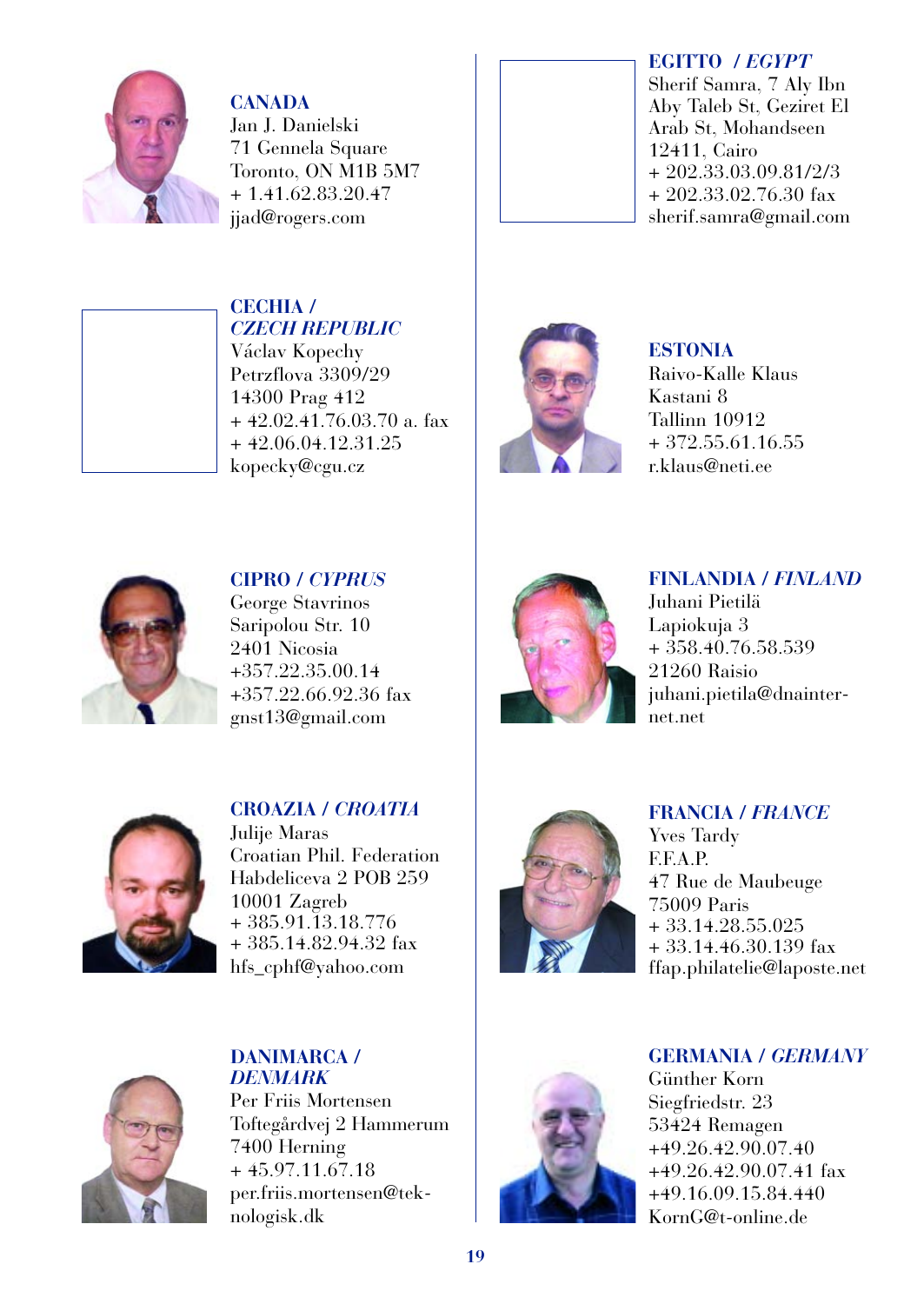

**CANADA** Jan J. Danielski 71 Gennela Square Toronto, ON M1B 5M7 + 1.41.62.83.20.47 jjad@rogers.com

*CZECH REPUBLIC* Václav Kopechy Petrzflova 3309/29 14300 Prag 412

 $+42.02.41.76.03.70$  a. fax + 42.06.04.12.31.25 kopecky@cgu.cz

**CECHIA /**



### **EGITTO /** *EGYPT*

Sherif Samra, 7 Aly Ibn Aby Taleb St, Geziret El Arab St, Mohandseen 12411, Cairo + 202.33.03.09.81/2/3 + 202.33.02.76.30 fax sherif.samra@gmail.com



# **ESTONIA**

Raivo-Kalle Klaus Kastani 8 Tallinn 10912 + 372.55.61.16.55 r.klaus@neti.ee



**CIPRO /** *CYPRUS* George Stavrinos Saripolou Str. 10 2401 Nicosia +357.22.35.00.14 +357.22.66.92.36 fax gnst13@gmail.com



**FINLANDIA /** *FINLAND* Juhani Pietilä Lapiokuja 3  $+358.40.76.58.539$ 21260 Raisio juhani.pietila@dnainternet.net



**CROAZIA /** *CROATIA* Julije Maras Croatian Phil. Federation Habdeliceva 2 POB 259 10001 Zagreb + 385.91.13.18.776 + 385.14.82.94.32 fax hfs\_cphf@yahoo.com



### **FRANCIA /** *FRANCE*

Yves Tardy F.F.A.P. 47 Rue de Maubeuge 75009 Paris + 33.14.28.55.025 + 33.14.46.30.139 fax ffap.philatelie@laposte.net



**DANIMARCA /** *DENMARK* Per Friis Mortensen Toftegårdvej 2 Hammerum 7400 Herning + 45.97.11.67.18 per.friis.mortensen@teknologisk.dk



### **GERMANIA /** *GERMANY*

Günther Korn Siegfriedstr. 23 53424 Remagen +49.26.42.90.07.40 +49.26.42.90.07.41 fax +49.16.09.15.84.440 KornG@t-online.de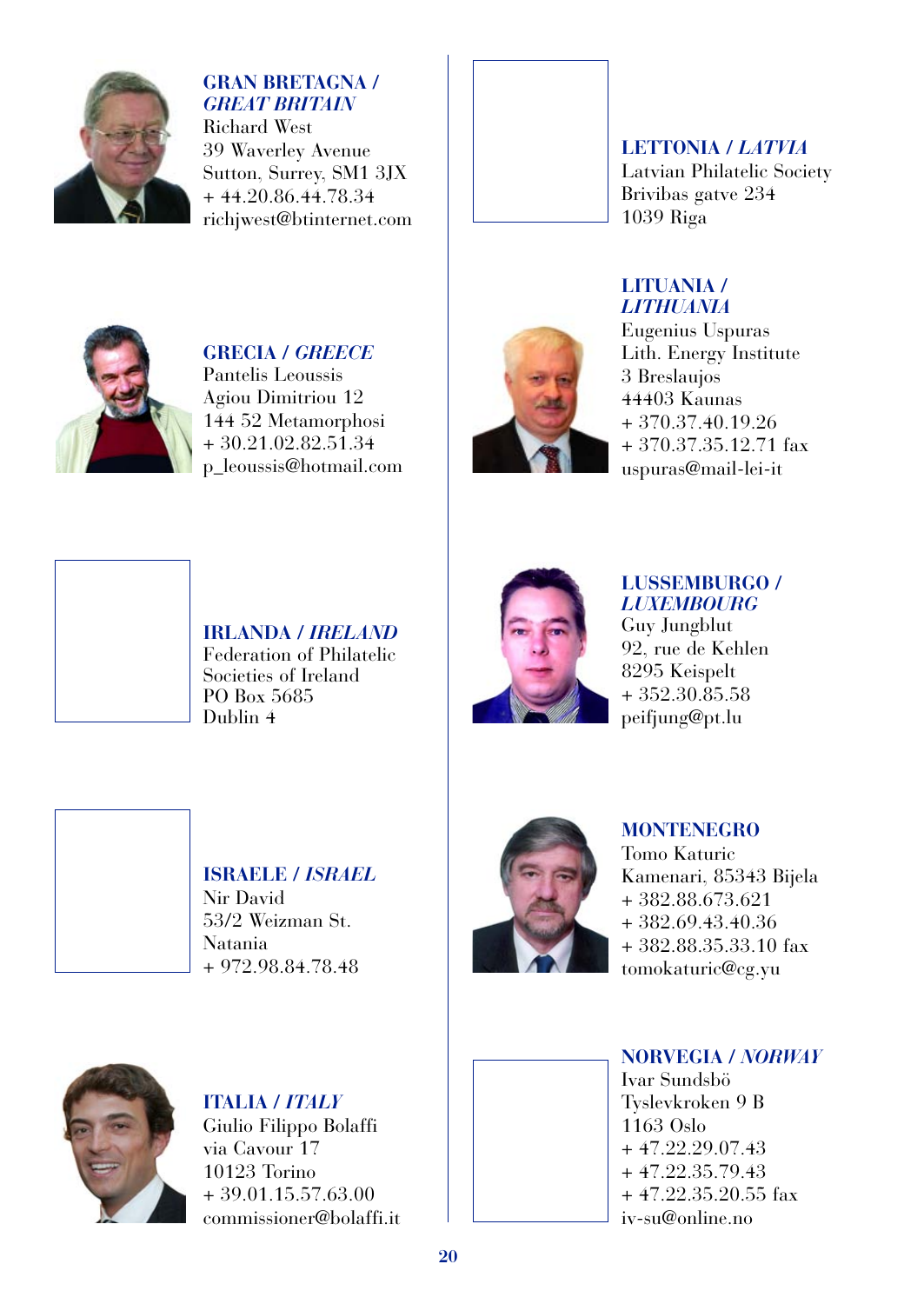

**GRAN BRETAGNA /** *GREAT BRITAIN* Richard West 39 Waverley Avenue Sutton, Surrey, SM1 3JX + 44.20.86.44.78.34

richjwest@btinternet.com



### **LITUANIA /** *LITHUANIA*



**GRECIA /** *GREECE* Pantelis Leoussis Agiou Dimitriou 12 144 52 Metamorphosi  $+30.21.02.82.51.34$ p\_leoussis@hotmail.com



### Eugenius Uspuras Lith. Energy Institute 3 Breslaujos 44403 Kaunas + 370.37.40.19.26 + 370.37.35.12.71 fax uspuras@mail-lei-it



**IRLANDA /** *IRELAND* Federation of Philatelic Societies of Ireland PO Box 5685 Dublin 4



### **LUSSEMBURGO /** *LUXEMBOURG*

Guy Jungblut 92, rue de Kehlen 8295 Keispelt + 352.30.85.58 peifjung@pt.lu



# **ISRAELE /** *ISRAEL*

Nir David 53/2 Weizman St. Natania + 972.98.84.78.48



### **MONTENEGRO**

Tomo Katuric Kamenari, 85343 Bijela + 382.88.673.621 + 382.69.43.40.36 + 382.88.35.33.10 fax tomokaturic@cg.yu



**ITALIA /** *ITALY* Giulio Filippo Bolaffi via Cavour 17 10123 Torino + 39.01.15.57.63.00 commissioner@bolaffi.it

**NORVEGIA /** *NORWAY* Ivar Sundsbö Tyslevkroken 9 B 1163 Oslo  $+47.22.29.07.43$  $+47.22.35.79.43$ + 47.22.35.20.55 fax iv-su@online.no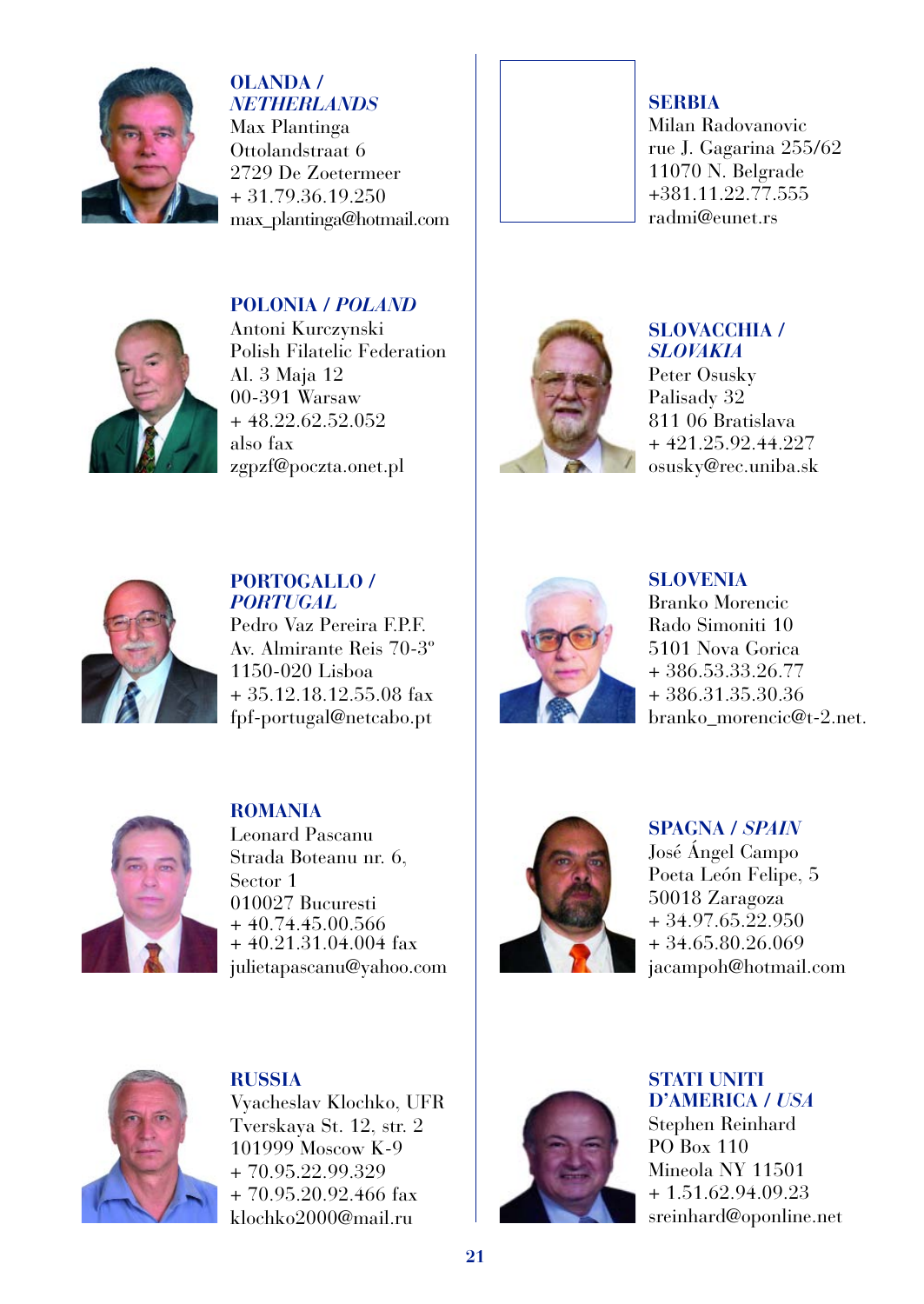

### **OLANDA /** *NETHERLANDS*

Max Plantinga Ottolandstraat 6 2729 De Zoetermeer + 31.79.36.19.250 max\_plantinga@hotmail.com

### **POLONIA /** *POLAND*



Antoni Kurczynski Polish Filatelic Federation Al. 3 Maja 12 00-391 Warsaw + 48.22.62.52.052 also fax zgpzf@poczta.onet.pl



### **SERBIA** Milan Radovanovic rue J. Gagarina 255/62 11070 N. Belgrade +381.11.22.77.555 radmi@eunet.rs



### **SLOVACCHIA /** *SLOVAKIA*

Peter Osusky Palisady 32 811 06 Bratislava  $+421.25.92.44.227$ osusky@rec.uniba.sk



**PORTOGALLO /** *PORTUGAL* Pedro Vaz Pereira F.P.F. Av. Almirante Reis 70-3º 1150-020 Lisboa + 35.12.18.12.55.08 fax fpf-portugal@netcabo.pt



**SLOVENIA** Branko Morencic Rado Simoniti 10 5101 Nova Gorica + 386.53.33.26.77 + 386.31.35.30.36 branko\_morencic@t-2.net.



**ROMANIA** Leonard Pascanu Strada Boteanu nr. 6, Sector 1 010027 Bucuresti  $+40.74.45.00.566$ + 40.21.31.04.004 fax julietapascanu@yahoo.com



**SPAGNA /** *SPAIN* José Ángel Campo Poeta León Felipe, 5 50018 Zaragoza + 34.97.65.22.950 + 34.65.80.26.069 jacampoh@hotmail.com



**RUSSIA** Vyacheslav Klochko, UFR Tverskaya St. 12, str. 2 101999 Moscow K-9 + 70.95.22.99.329 + 70.95.20.92.466 fax klochko2000@mail.ru



**STATI UNITI D'AMERICA /** *USA* Stephen Reinhard PO Box 110 Mineola NY 11501 + 1.51.62.94.09.23 sreinhard@oponline.net